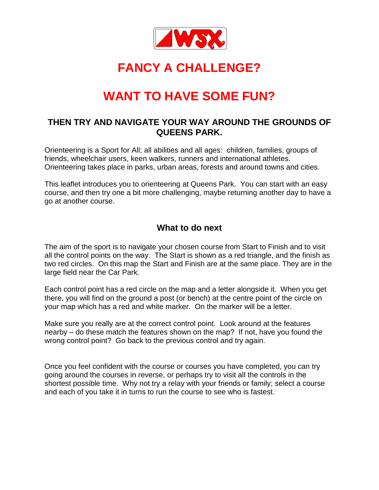

# **FANCY A CHALLENGE?**

# **WANT TO HAVE SOME FUN?**

### **THEN TRY AND NAVIGATE YOUR WAY AROUND THE GROUNDS OF QUEENS PARK.**

Orienteering is a Sport for All; all abilities and all ages: children, families, groups of friends, wheelchair users, keen walkers, runners and international athletes. Orienteering takes place in parks, urban areas, forests and around towns and cities.

This leaflet introduces you to orienteering at Queens Park. You can start with an easy course, and then try one a bit more challenging, maybe returning another day to have a go at another course.

### **What to do next**

The aim of the sport is to navigate your chosen course from Start to Finish and to visit all the control points on the way. The Start is shown as a red triangle, and the finish as two red circles. On this map the Start and Finish are at the same place. They are in the large field near the Car Park.

Each control point has a red circle on the map and a letter alongside it. When you get there, you will find on the ground a post (or bench) at the centre point of the circle on your map which has a red and white marker. On the marker will be a letter.

Make sure you really are at the correct control point. Look around at the features nearby – do these match the features shown on the map? If not, have you found the wrong control point? Go back to the previous control and try again.

Once you feel confident with the course or courses you have completed, you can try going around the courses in reverse, or perhaps try to visit all the controls in the shortest possible time. Why not try a relay with your friends or family; select a course and each of you take it in turns to run the course to see who is fastest.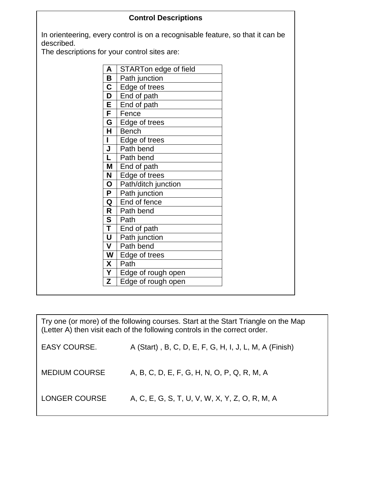| In orienteering, every control is on a recognisable feature, so that it can be<br>described.<br>The descriptions for your control sites are:<br>STARTon edge of field<br>A<br>Path junction<br>B<br>C<br>Edge of trees<br>End of path<br>D<br>End of path<br>Е |
|----------------------------------------------------------------------------------------------------------------------------------------------------------------------------------------------------------------------------------------------------------------|
|                                                                                                                                                                                                                                                                |
|                                                                                                                                                                                                                                                                |
|                                                                                                                                                                                                                                                                |
|                                                                                                                                                                                                                                                                |
|                                                                                                                                                                                                                                                                |
|                                                                                                                                                                                                                                                                |
| Fence<br>F.                                                                                                                                                                                                                                                    |
| Edge of trees<br>G                                                                                                                                                                                                                                             |
| H.<br><b>Bench</b>                                                                                                                                                                                                                                             |
| I<br>Edge of trees                                                                                                                                                                                                                                             |
| Path bend<br>J                                                                                                                                                                                                                                                 |
| Path bend<br>L                                                                                                                                                                                                                                                 |
| End of path<br>M                                                                                                                                                                                                                                               |
| N<br>Edge of trees                                                                                                                                                                                                                                             |
| Path/ditch junction<br>O                                                                                                                                                                                                                                       |
| Path junction<br>P                                                                                                                                                                                                                                             |
| End of fence<br>Q                                                                                                                                                                                                                                              |
| Path bend<br>R                                                                                                                                                                                                                                                 |
| S<br>Path                                                                                                                                                                                                                                                      |
| T<br>End of path                                                                                                                                                                                                                                               |
| U<br>Path junction                                                                                                                                                                                                                                             |
| Path bend<br>$\mathsf{V}$                                                                                                                                                                                                                                      |
| W<br>Edge of trees                                                                                                                                                                                                                                             |
| X<br>Path                                                                                                                                                                                                                                                      |
| Y<br>Edge of rough open                                                                                                                                                                                                                                        |
| Z<br>Edge of rough open                                                                                                                                                                                                                                        |

Try one (or more) of the following courses. Start at the Start Triangle on the Map (Letter A) then visit each of the following controls in the correct order.

| EASY COURSE.         | A (Start), B, C, D, E, F, G, H, I, J, L, M, A (Finish) |
|----------------------|--------------------------------------------------------|
| <b>MEDIUM COURSE</b> | A, B, C, D, E, F, G, H, N, O, P, Q, R, M, A            |
| LONGER COURSE        | A, C, E, G, S, T, U, V, W, X, Y, Z, O, R, M, A         |